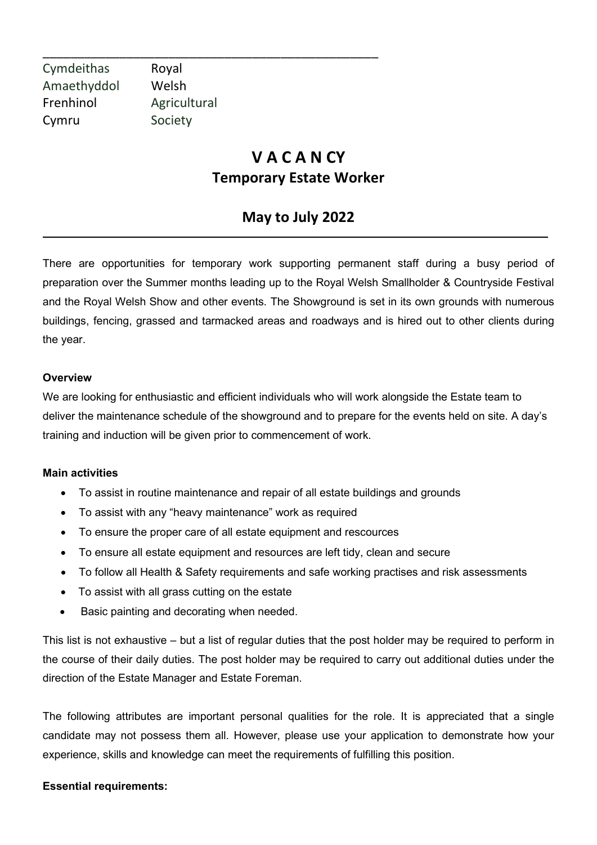Cymdeithas Royal Amaethyddol Welsh Frenhinol Agricultural Cymru Society

\_\_\_\_\_\_\_\_\_\_\_\_\_\_\_\_\_\_\_\_\_\_\_\_\_\_\_\_\_\_\_\_\_\_\_\_\_\_\_\_\_\_\_\_\_\_\_\_

# **V A C A N CY Temporary Estate Worker**

## **May to July 2022**

There are opportunities for temporary work supporting permanent staff during a busy period of preparation over the Summer months leading up to the Royal Welsh Smallholder & Countryside Festival and the Royal Welsh Show and other events. The Showground is set in its own grounds with numerous buildings, fencing, grassed and tarmacked areas and roadways and is hired out to other clients during the year.

#### **Overview**

We are looking for enthusiastic and efficient individuals who will work alongside the Estate team to deliver the maintenance schedule of the showground and to prepare for the events held on site. A day's training and induction will be given prior to commencement of work.

#### **Main activities**

- To assist in routine maintenance and repair of all estate buildings and grounds
- To assist with any "heavy maintenance" work as required
- To ensure the proper care of all estate equipment and rescources
- To ensure all estate equipment and resources are left tidy, clean and secure
- To follow all Health & Safety requirements and safe working practises and risk assessments
- To assist with all grass cutting on the estate
- Basic painting and decorating when needed.

This list is not exhaustive – but a list of regular duties that the post holder may be required to perform in the course of their daily duties. The post holder may be required to carry out additional duties under the direction of the Estate Manager and Estate Foreman.

The following attributes are important personal qualities for the role. It is appreciated that a single candidate may not possess them all. However, please use your application to demonstrate how your experience, skills and knowledge can meet the requirements of fulfilling this position.

#### **Essential requirements:**